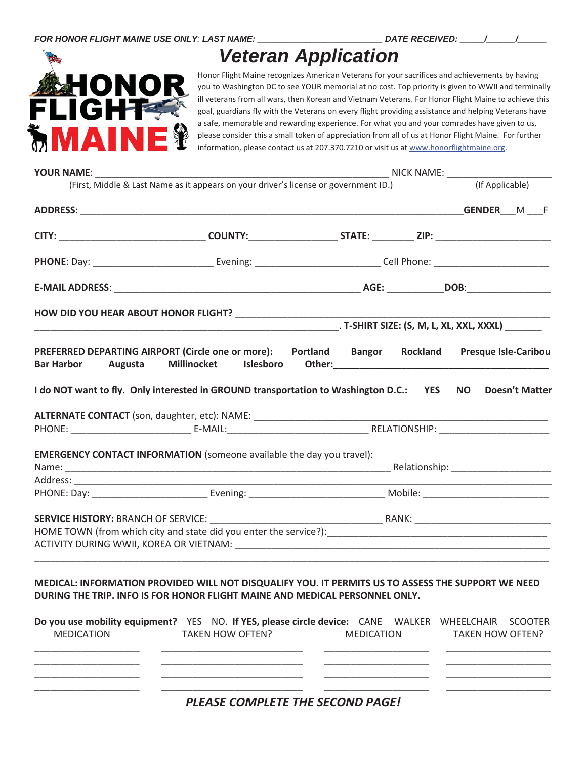

## *Veteran Application*

Honor Flight Maine recognizes American Veterans for your sacrifices and achievements by having you to Washington DC to see YOUR memorial at no cost. Top priority is given to WWII and terminally ill veterans from all wars, then Korean and Vietnam Veterans. For Honor Flight Maine to achieve this goal, guardians fly with the Veterans on every flight providing assistance and helping Veterans have a safe, memorable and rewarding experience. For what you and your comrades have given to us, please consider this a small token of appreciation from all of us at Honor Flight Maine. For further information, please contact us at 207.370.7210 or visit us at www.honorflightmaine.org.

| <b>YOUR NAME:</b>            |                                                                                                                                                                                                                                                                                                                     |                                                                                                                                                                                                      |                             |
|------------------------------|---------------------------------------------------------------------------------------------------------------------------------------------------------------------------------------------------------------------------------------------------------------------------------------------------------------------|------------------------------------------------------------------------------------------------------------------------------------------------------------------------------------------------------|-----------------------------|
|                              | (First, Middle & Last Name as it appears on your driver's license or government ID.)                                                                                                                                                                                                                                |                                                                                                                                                                                                      | (If Applicable)             |
|                              |                                                                                                                                                                                                                                                                                                                     |                                                                                                                                                                                                      |                             |
|                              |                                                                                                                                                                                                                                                                                                                     |                                                                                                                                                                                                      |                             |
|                              |                                                                                                                                                                                                                                                                                                                     |                                                                                                                                                                                                      |                             |
|                              |                                                                                                                                                                                                                                                                                                                     |                                                                                                                                                                                                      |                             |
|                              |                                                                                                                                                                                                                                                                                                                     |                                                                                                                                                                                                      |                             |
|                              |                                                                                                                                                                                                                                                                                                                     |                                                                                                                                                                                                      |                             |
| <b>Bar Harbor</b><br>Augusta | PREFERRED DEPARTING AIRPORT (Circle one or more):    Portland    Bangor                                                                                                                                                                                                                                             | Rockland<br>Millinocket Islesboro Other:<br>2008. - The Millinocket Islesboro Other:<br>2008. - 2008. - 2009. - 2009. - 2009. - 2010. - 2010. - 2010. - 2010. - 2010. - 2010. - 2010. - 2010. - 2010 | <b>Presque Isle-Caribou</b> |
|                              | I do NOT want to fly. Only interested in GROUND transportation to Washington D.C.: YES NO Doesn't Matter                                                                                                                                                                                                            |                                                                                                                                                                                                      |                             |
|                              | ALTERNATE CONTACT (son, daughter, etc): NAME: __________________________________                                                                                                                                                                                                                                    |                                                                                                                                                                                                      |                             |
|                              |                                                                                                                                                                                                                                                                                                                     |                                                                                                                                                                                                      |                             |
|                              |                                                                                                                                                                                                                                                                                                                     |                                                                                                                                                                                                      |                             |
|                              | <b>EMERGENCY CONTACT INFORMATION</b> (someone available the day you travel):                                                                                                                                                                                                                                        |                                                                                                                                                                                                      |                             |
|                              |                                                                                                                                                                                                                                                                                                                     |                                                                                                                                                                                                      |                             |
|                              |                                                                                                                                                                                                                                                                                                                     |                                                                                                                                                                                                      |                             |
|                              |                                                                                                                                                                                                                                                                                                                     |                                                                                                                                                                                                      |                             |
|                              |                                                                                                                                                                                                                                                                                                                     |                                                                                                                                                                                                      |                             |
| <b>MEDICATION</b>            | MEDICAL: INFORMATION PROVIDED WILL NOT DISQUALIFY YOU. IT PERMITS US TO ASSESS THE SUPPORT WE NEED<br>DURING THE TRIP. INFO IS FOR HONOR FLIGHT MAINE AND MEDICAL PERSONNEL ONLY.<br>Do you use mobility equipment? YES NO. If YES, please circle device: CANE WALKER WHEELCHAIR SCOOTER<br><b>TAKEN HOW OFTEN?</b> | <b>MEDICATION</b>                                                                                                                                                                                    | <b>TAKEN HOW OFTEN?</b>     |
|                              |                                                                                                                                                                                                                                                                                                                     |                                                                                                                                                                                                      |                             |
|                              |                                                                                                                                                                                                                                                                                                                     |                                                                                                                                                                                                      |                             |
|                              | PLEASE COMPLETE THE SECOND PAGE!                                                                                                                                                                                                                                                                                    |                                                                                                                                                                                                      |                             |